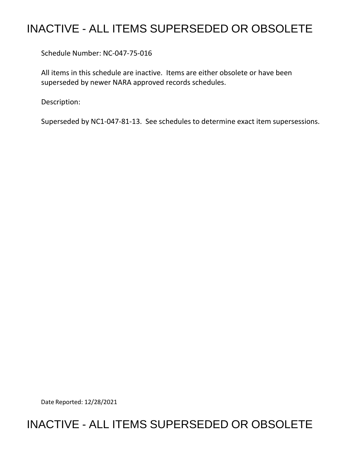# INACTIVE - ALL ITEMS SUPERSEDED OR OBSOLETE

Schedule Number: NC-047-75-016

 All items in this schedule are inactive. Items are either obsolete or have been superseded by newer NARA approved records schedules.

Description:

Superseded by NC1-047-81-13. See schedules to determine exact item supersessions.

Date Reported: 12/28/2021

# INACTIVE - ALL ITEMS SUPERSEDED OR OBSOLETE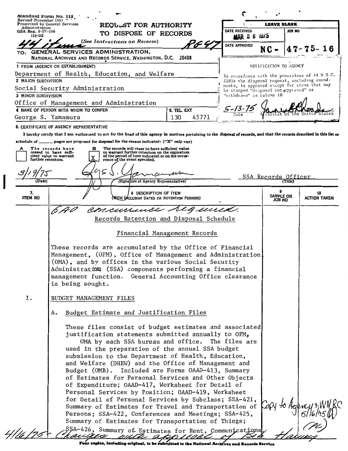| Standard Form No. 115<br>Revised November 1951<br>Prescribed by General Services |                                                                                                                                                                                                                      |                              |                                                                                                | <b>LEAVE BLANK</b>     |         |                     |
|----------------------------------------------------------------------------------|----------------------------------------------------------------------------------------------------------------------------------------------------------------------------------------------------------------------|------------------------------|------------------------------------------------------------------------------------------------|------------------------|---------|---------------------|
| Administration<br>$GSA$ Reg. $3 - IV - 106$                                      | REQULST FOR AUTHORITY                                                                                                                                                                                                |                              | DATE RECEIVED                                                                                  |                        | JOB NO  |                     |
| 115-103                                                                          | TO DISPOSE OF RECORDS                                                                                                                                                                                                |                              | <b>MAR 2 6 1975</b>                                                                            |                        |         |                     |
|                                                                                  | (See Instructions on Reverse)                                                                                                                                                                                        | 't 4                         | DATE APPROVED                                                                                  | NC                     |         |                     |
|                                                                                  | TO: GENERAL SERVICES ADMINISTRATION,<br>NATIONAL ARCHIVES AND RECORDS SERVICE, WASHINGTON, D.C. 20408                                                                                                                |                              |                                                                                                |                        |         |                     |
|                                                                                  | 1 FROM (AGENCY OR ESTABLISHMENT)                                                                                                                                                                                     |                              |                                                                                                | NOTIFICATION TO AGENCY |         |                     |
|                                                                                  | Department of Health, Education, and Welfare                                                                                                                                                                         |                              |                                                                                                |                        |         |                     |
| 2 MAJOR SUBDIVISION                                                              |                                                                                                                                                                                                                      |                              | In accordance with the provisions of 44 U S C.<br>3303a the disposal request, including amend- |                        |         |                     |
|                                                                                  | Social Security Administration                                                                                                                                                                                       |                              | ments, is approved except for items that may<br>be stamped "disposal not epproved" or          |                        |         |                     |
| 3 MINOR SUBDIVISION                                                              |                                                                                                                                                                                                                      |                              | "withdrawn" in column 10                                                                       |                        |         |                     |
|                                                                                  | Office of Management and Administration                                                                                                                                                                              |                              |                                                                                                |                        |         |                     |
| George S. Yamamura                                                               | 4 NAME OF PERSON WITH WHOM TO CONFER                                                                                                                                                                                 | 5. TEL. EXT<br>45771<br>130  |                                                                                                |                        |         |                     |
|                                                                                  |                                                                                                                                                                                                                      |                              |                                                                                                |                        |         |                     |
|                                                                                  | 6. CERTIFICATE OF AGENCY REPRESENTATIVE<br>I hereby certify that I am authorized to act for the head of this agency in matters pertaining to the disposal of records, and that the records described in this list or |                              |                                                                                                |                        |         |                     |
|                                                                                  | schedule of $\_\_\_\_$ pages are proposed for disposal for the reason indicated: ("X" only one)                                                                                                                      |                              |                                                                                                |                        |         |                     |
| A                                                                                | The records will cease to have sufficient value<br>The records have<br>в                                                                                                                                             |                              |                                                                                                |                        |         |                     |
| further retention.                                                               | to warrant further retention on the expiration<br>ceased to have suffi-<br>of the period of time indicated or on the occur-<br>cient value to warrant<br>X<br>rence of the event specified.                          |                              |                                                                                                |                        |         |                     |
|                                                                                  |                                                                                                                                                                                                                      |                              |                                                                                                |                        |         |                     |
|                                                                                  |                                                                                                                                                                                                                      |                              |                                                                                                | SSA Records Officer    |         |                     |
| (Date)                                                                           | (Signature of Agency Representative)                                                                                                                                                                                 |                              |                                                                                                |                        | (Title) |                     |
| 7.                                                                               | 8 DESCRIPTION OF ITEM                                                                                                                                                                                                |                              |                                                                                                | ۰<br><b>SAMPLE OR</b>  |         | 10                  |
| <b>ITEM NO</b>                                                                   | With Inclusive Dates or Retention Periods)                                                                                                                                                                           |                              |                                                                                                | JOB NO                 |         | <b>ACTION TAKEN</b> |
|                                                                                  | concurrence                                                                                                                                                                                                          | a uurid.                     |                                                                                                |                        |         |                     |
|                                                                                  | Records Retention and Disposal Schedule                                                                                                                                                                              |                              |                                                                                                |                        |         |                     |
|                                                                                  |                                                                                                                                                                                                                      |                              |                                                                                                |                        |         |                     |
|                                                                                  |                                                                                                                                                                                                                      | Financial Management Records |                                                                                                |                        |         |                     |
|                                                                                  | These records are accumulated by the Office of Financial                                                                                                                                                             |                              |                                                                                                |                        |         |                     |
|                                                                                  | Management, (OFM), Office of Management and Administration                                                                                                                                                           |                              |                                                                                                |                        |         |                     |
|                                                                                  | (OMA), and by offices in the various Social Security                                                                                                                                                                 |                              |                                                                                                |                        |         |                     |
|                                                                                  | Administration (SSA) components performing a financial                                                                                                                                                               |                              |                                                                                                |                        |         |                     |
|                                                                                  | management function. General Accounting Office clearance<br>is being sought.                                                                                                                                         |                              |                                                                                                |                        |         |                     |
|                                                                                  |                                                                                                                                                                                                                      |                              |                                                                                                |                        |         |                     |
| Ι.                                                                               | BUDGET MANAGEMENT FILES                                                                                                                                                                                              |                              |                                                                                                |                        |         |                     |
|                                                                                  |                                                                                                                                                                                                                      |                              |                                                                                                |                        |         |                     |
|                                                                                  | Budget Estimate and Justification Files<br>А.                                                                                                                                                                        |                              |                                                                                                |                        |         |                     |
|                                                                                  |                                                                                                                                                                                                                      |                              |                                                                                                |                        |         |                     |
|                                                                                  |                                                                                                                                                                                                                      |                              |                                                                                                |                        |         |                     |
|                                                                                  | These files consist of budget estimates and associated                                                                                                                                                               |                              |                                                                                                |                        |         |                     |
|                                                                                  | justification statements submitted annually to OFM,                                                                                                                                                                  |                              |                                                                                                |                        |         |                     |
|                                                                                  | OMA by each SSA bureau and office. The files are<br>used in the preparation of the annual SSA budget                                                                                                                 |                              |                                                                                                |                        |         |                     |
|                                                                                  | submission to the Department of Health, Education,                                                                                                                                                                   |                              |                                                                                                |                        |         |                     |
|                                                                                  | and Welfare (DHEW) and the Office of Management and                                                                                                                                                                  |                              |                                                                                                |                        |         |                     |
|                                                                                  | Budget (OMB). Included are Forms OAAD-413, Summary                                                                                                                                                                   |                              |                                                                                                |                        |         |                     |
|                                                                                  | of Estimates for Personal Services and Other Objects                                                                                                                                                                 |                              |                                                                                                |                        |         |                     |
|                                                                                  | of Expenditure; OAAD-417, Worksheet for Detail of                                                                                                                                                                    |                              |                                                                                                |                        |         |                     |
|                                                                                  | Personal Services by Position; OAAD-419, Worksheet<br>for Detail of Personal Services by Subclass; SSA-421,                                                                                                          |                              |                                                                                                |                        |         |                     |
|                                                                                  | Summary of Estimates for Travel and Transportation of                                                                                                                                                                |                              |                                                                                                |                        |         |                     |
|                                                                                  | Persons; SSA-422, Conferences and Meetings; SSA-425,                                                                                                                                                                 |                              |                                                                                                |                        |         |                     |
|                                                                                  | Summary of Estimates for Transportation of Things;<br>SSA-426, Summary of Estimates for Rent, Communications                                                                                                         |                              |                                                                                                |                        |         |                     |

Four copies, including original, to be submitted to the National Archives and Records Service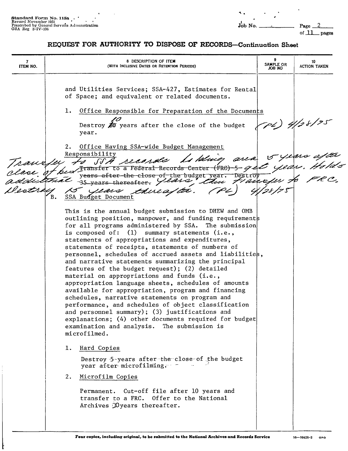of \_lL\_ pages

**1** 8 DESCRIPTION OF ITEM **10 ITEM ITEM ITEM ISAMPLE OR ITEM ITEM ITEM ISAMPLE OR ACTION TAKEN** and Utilities Services; SSA-427, Estimates for Rental of Space; and equivalent or related documents. 1. Office Responsible for Preparation of the Documents Destroy **20** years after the close of the budget (24) 5 year. Office Having SSA-wide Budget Management  $2$ . Responsibility  $~\sim$  years after area s pluces to SSA recorde , Holds been Fransfer to a Federal Records Center (FRC) -5- 9-0 years after the close of the budget year.  $\ell$  C. 35 years thereafter. years thue at a  $\overline{B}$ . **SSA** Budget Document This is the annual budget submission to DREW and 0MB outlining position, manpower, and funding requirement for all programs administered by SSA. The submission is composed of: (1) summary statements (i.e., statements of appropriations and expenditures, statements of receipts, statements of numbers of personnel, schedules of accrued assets and liabilities, and narrative statements summarizing the principal features of the budget request); (2) detailed material on appropriations and funds (i.e., appropriation language sheets, schedules of amounts available for appropriation, program and financing schedules, narrative statements on program and performance, and schedules of object classification and personnel summary); (3) justifications and explanations; (4) other documents required for budget examination and analysis. The submission is microfilmed. 1. Hard Copies Destroy 5-years after-the-close-of the budget year after-microfilming. - -2. Microfilm Copies Permanent. Cut-off file after 10 years and transfer to a FRC. Offer to the National Archives Myears thereafter.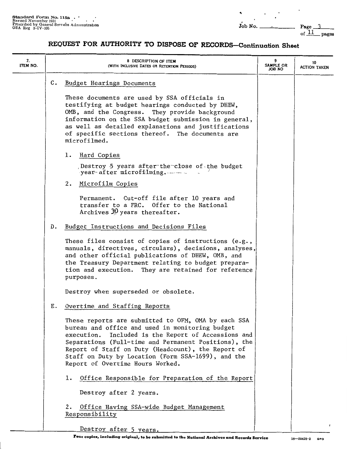of  $11$  pages

 $\cdot$ 

| 7.<br>ITEM NO. |    | 8 DESCRIPTION OF ITEM<br>(WITH INCLUSIVE DATES OR RETENTION PERIODS)                                                                                                                                                                                                                                                                                                     | 9<br>SAMPLE OR<br>ON 8OL | 10<br><b>ACTION TAKEN</b> |
|----------------|----|--------------------------------------------------------------------------------------------------------------------------------------------------------------------------------------------------------------------------------------------------------------------------------------------------------------------------------------------------------------------------|--------------------------|---------------------------|
|                | C. | Budget Hearings Documents                                                                                                                                                                                                                                                                                                                                                |                          |                           |
|                |    | These documents are used by SSA officials in<br>testifying at budget hearings conducted by DHEW,<br>OMB, and the Congress. They provide background<br>information on the SSA budget submission in general,<br>as well as detailed explanations and justifications<br>of specific sections thereof. The documents are<br>microfilmed.                                     |                          |                           |
|                |    | ı.<br>Hard Copies                                                                                                                                                                                                                                                                                                                                                        |                          |                           |
|                |    | Destroy 5 years after the close of the budget<br>year-after microfilming.                                                                                                                                                                                                                                                                                                |                          |                           |
|                |    | 2.<br>Microfilm Copies                                                                                                                                                                                                                                                                                                                                                   |                          |                           |
|                |    | Permanent. Cut-off file after 10 years and<br>transfer to a FRC. Offer to the National<br>Archives $30$ years thereafter.                                                                                                                                                                                                                                                |                          |                           |
|                | D. | Budget Instructions and Decisions Files                                                                                                                                                                                                                                                                                                                                  |                          |                           |
|                |    | These files consist of copies of instructions $(e.g.,$<br>manuals, directives, circulars), decisions, analyses,<br>and other official publications of DHEW, OMB, and<br>the Treasury Department relating to budget prepara-<br>tion and execution. They are retained for reference<br>purposes.                                                                          |                          |                           |
|                |    | Destroy when superseded or obsolete.                                                                                                                                                                                                                                                                                                                                     |                          |                           |
|                | Е. | Overtime and Staffing Reports                                                                                                                                                                                                                                                                                                                                            |                          |                           |
|                |    | These reports are submitted to OFM, OMA by each SSA<br>bureau and office and used in monitoring budget<br>Included is the Report of Accessions and<br>execution.<br>Separations (Full-time and Permanent Positions), the<br>Report of Staff on Duty (Headcount), the Report of<br>Staff on Duty by Location (Form SSA-1699), and the<br>Report of Overtime Hours Worked. |                          |                           |
|                |    | Office Responsible for Preparation of the Report<br>1.                                                                                                                                                                                                                                                                                                                   |                          |                           |
|                |    | Destroy after 2 years.                                                                                                                                                                                                                                                                                                                                                   |                          |                           |
|                |    | Office Having SSA-wide Budget Management<br>2.<br>Responsibility                                                                                                                                                                                                                                                                                                         |                          |                           |
|                |    | Destroy after 5 years.                                                                                                                                                                                                                                                                                                                                                   |                          |                           |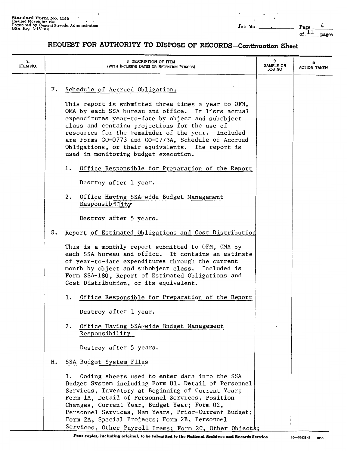of  $\frac{11}{2}$  pages

| 7.<br>ITEM NO. |    | 8 DESCRIPTION OF ITEM<br>(WITH INCLUSIVE DATES OR RETENTION PERIODS)                                                                                                                                                                                                                                                                                                                                                       | 9<br>SAMPLE OR<br>JOB NO | 10<br>ACTION TAKEN |
|----------------|----|----------------------------------------------------------------------------------------------------------------------------------------------------------------------------------------------------------------------------------------------------------------------------------------------------------------------------------------------------------------------------------------------------------------------------|--------------------------|--------------------|
|                | F. | Schedule of Accrued Obligations                                                                                                                                                                                                                                                                                                                                                                                            |                          |                    |
|                |    | This report is submitted three times a year to OFM,<br>OMA by each SSA bureau and office. It lists actual<br>expenditures year-to-date by object and subobject<br>class and contains projections for the use of<br>resources for the remainder of the year.<br>Included<br>are Forms CO-0773 and CO-0773A, Schedule of Accrued<br>Obligations, or their equivalents. The report is<br>used in monitoring budget execution. |                          |                    |
|                |    | Office Responsible for Preparation of the Report<br>1.                                                                                                                                                                                                                                                                                                                                                                     |                          |                    |
|                |    | Destroy after 1 year.                                                                                                                                                                                                                                                                                                                                                                                                      |                          |                    |
|                |    | 2. Office Having SSA-wide Budget Management<br>Responsibility                                                                                                                                                                                                                                                                                                                                                              |                          |                    |
|                |    | Destroy after 5 years.                                                                                                                                                                                                                                                                                                                                                                                                     |                          |                    |
|                | G. | Report of Estimated Obligations and Cost Distribution                                                                                                                                                                                                                                                                                                                                                                      |                          |                    |
|                |    | This is a monthly report submitted to OFM, OMA by<br>each SSA bureau and office. It contains an estimate<br>of year-to-date expenditures through the current<br>month by object and subobject class. Included is<br>Form SSA-180, Report of Estimated Obligations and<br>Cost Distribution, or its equivalent.                                                                                                             |                          |                    |
|                |    | Office Responsible for Preparation of the Report<br>1.                                                                                                                                                                                                                                                                                                                                                                     |                          |                    |
|                |    | Destroy after 1 year.                                                                                                                                                                                                                                                                                                                                                                                                      |                          |                    |
|                |    | Office Having SSA-wide Budget Management<br>2.<br>Responsibility                                                                                                                                                                                                                                                                                                                                                           |                          |                    |
|                |    | Destroy after 5 years.                                                                                                                                                                                                                                                                                                                                                                                                     |                          |                    |
|                | н. | SSA Budget System Files                                                                                                                                                                                                                                                                                                                                                                                                    |                          |                    |
|                |    | Coding sheets used to enter data into the SSA<br>ı.<br>Budget System including Form 01, Detail of Personnel<br>Services, Inventory at Beginning of Current Year;<br>Form 1A, Detail of Personnel Services, Position<br>Changes, Current Year, Budget Year; Form 02,<br>Personnel Services, Man Years, Prior-Current Budget;                                                                                                |                          |                    |
|                |    | Form 2A, Special Projects; Form 2B, Personnel<br>Services, Other Payroll Items; Form 2C, Other Objects;                                                                                                                                                                                                                                                                                                                    |                          |                    |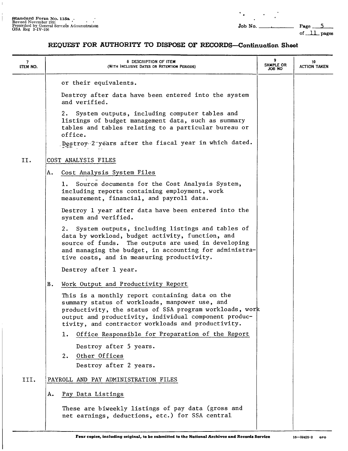$\mathbb{L}$ 

 $\begin{array}{c} \hline \end{array}$ 

 $\sim 100$  km s  $^{-1}$ 

 $\overline{\mathbf{A}}_{\mathbf{A}}$ 

1. Page 5<br>of 11 pages

| 7<br>ITEM NO. | 8 DESCRIPTION OF ITEM<br>(WITH INCLUSIVE DATES OR RETENTION PERIODS)                                                                                                                                                                                                         | SAMPLE OR<br>OM 8OL | 10<br><b>ACTION TAKEN</b> |
|---------------|------------------------------------------------------------------------------------------------------------------------------------------------------------------------------------------------------------------------------------------------------------------------------|---------------------|---------------------------|
|               | or their equivalents.                                                                                                                                                                                                                                                        |                     |                           |
|               | Destroy after data have been entered into the system<br>and verified.                                                                                                                                                                                                        |                     |                           |
|               | System outputs, including computer tables and<br>2.<br>listings of budget management data, such as summary<br>tables and tables relating to a particular bureau or<br>office.<br>Destroy 2 yéars after the fiscal year in which dated.                                       |                     |                           |
| II.           | COST ANALYSIS FILES                                                                                                                                                                                                                                                          |                     |                           |
|               |                                                                                                                                                                                                                                                                              |                     |                           |
|               | Cost Analysis System Files<br>А.                                                                                                                                                                                                                                             |                     |                           |
|               | Source documents for the Cost Analysis System,<br>ı.<br>including reports containing employment, work<br>measurement, financial, and payroll data.                                                                                                                           |                     |                           |
|               | Destroy 1 year after data have been entered into the<br>system and verified.                                                                                                                                                                                                 |                     |                           |
|               | System outputs, including listings and tables of<br>2.<br>data by workload, budget activity, function, and<br>The outputs are used in developing<br>source of funds.<br>and managing the budget, in accounting for administra-<br>tive costs, and in measuring productivity. |                     |                           |
|               | Destroy after 1 year.                                                                                                                                                                                                                                                        |                     |                           |
|               | Work Output and Productivity Report<br>В.                                                                                                                                                                                                                                    |                     |                           |
|               | This is a monthly report containing data on the<br>summary status of workloads, manpower use, and<br>productivity, the status of SSA program workloads, work<br>output and productivity, individual component produc-<br>tivity, and contractor workloads and productivity.  |                     |                           |
|               | Office Responsible for Preparation of the Report<br>ı.                                                                                                                                                                                                                       |                     |                           |
|               | Destroy after 5 years.                                                                                                                                                                                                                                                       |                     |                           |
|               | 2. Other Offices                                                                                                                                                                                                                                                             |                     |                           |
|               | Destroy after 2 years.                                                                                                                                                                                                                                                       |                     |                           |
| III.          | PAYROLL AND PAY ADMINISTRATION FILES                                                                                                                                                                                                                                         |                     |                           |
|               | Pay Data Listings<br>А.                                                                                                                                                                                                                                                      |                     |                           |
|               | These are biweekly listings of pay data (gross and<br>net earnings, deductions, etc.) for SSA central                                                                                                                                                                        |                     |                           |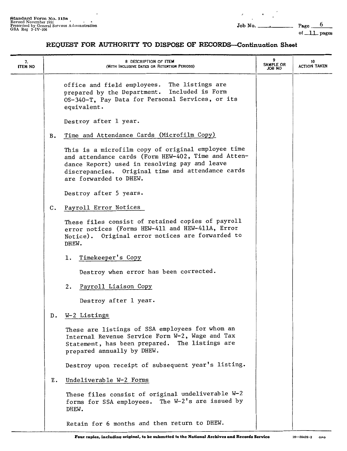$\epsilon$ 

of  $11$  pages

| 7.<br><b>ITEM NO</b> |    | 8 DESCRIPTION OF ITEM<br>(WITH INCLUSIVE DATES OR RETENTION PERIODS)                                                                                                                                                                      | SAMPLE OR<br>ON 8OL | 10<br><b>ACTION TAKEN</b> |
|----------------------|----|-------------------------------------------------------------------------------------------------------------------------------------------------------------------------------------------------------------------------------------------|---------------------|---------------------------|
|                      |    | office and field employees. The listings are<br>prepared by the Department. Included is Form<br>OS-340-T, Pay Data for Personal Services, or its<br>equivalent.                                                                           |                     |                           |
|                      |    | Destroy after 1 year.                                                                                                                                                                                                                     |                     |                           |
|                      | в. | Time and Attendance Cards (Microfilm Copy)                                                                                                                                                                                                |                     |                           |
|                      |    | This is a microfilm copy of original employee time<br>and attendance cards (Form HEW-402, Time and Atten-<br>dance Report) used in resolving pay and leave<br>discrepancies. Original time and attendance cards<br>are forwarded to DHEW. |                     |                           |
|                      |    | Destroy after 5 years.                                                                                                                                                                                                                    |                     |                           |
|                      | C. | Payroll Error Notices                                                                                                                                                                                                                     |                     |                           |
|                      |    | These files consist of retained copies of payroll<br>error notices (Forms HEW-411 and HEW-411A, Error<br>Notice). Original error notices are forwarded to<br>DHEW.                                                                        |                     |                           |
|                      |    | 1. Timekeeper's Copy                                                                                                                                                                                                                      |                     |                           |
|                      |    | Destroy when error has been corrected.                                                                                                                                                                                                    |                     |                           |
|                      |    | Payroll Liaison Copy<br>2.                                                                                                                                                                                                                |                     |                           |
|                      |    | Destroy after 1 year.                                                                                                                                                                                                                     |                     |                           |
|                      | D. | W-2 Listings                                                                                                                                                                                                                              |                     |                           |
|                      |    | These are listings of SSA employees for whom an<br>Internal Revenue Service Form W-2, Wage and Tax<br>Statement, has been prepared. The listings are<br>prepared annually by DHEW.                                                        |                     |                           |
|                      |    | Destroy upon receipt of subsequent year's listing.                                                                                                                                                                                        |                     |                           |
|                      | Ε. | Undeliverable W-2 Forms                                                                                                                                                                                                                   |                     |                           |
|                      |    | These files consist of original undeliverable W-2<br>forms for SSA employees. The W-2's are issued by<br>DHEW.                                                                                                                            |                     |                           |
|                      |    | Retain for 6 months and then return to DHEW.                                                                                                                                                                                              |                     |                           |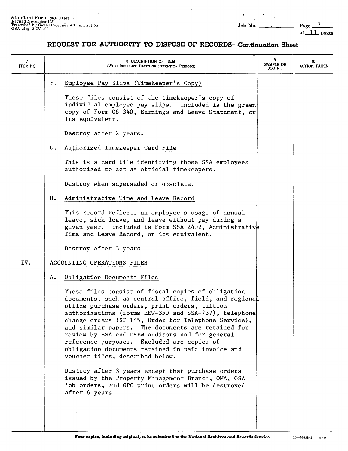of \_ll\_ **pages** 

| 7<br><b>ITEM NO</b> | 8 DESCRIPTION OF ITEM<br>(WITH INCLUSIVE DATES OR RETENTION PERIODS)                                                                                                                                                                                                                                                                                                                                                                                                                                                                                                                                                                                                                                                                                    | 9<br>SAMPLE OR<br>JOB NO | 10<br><b>ACTION TAKEN</b> |
|---------------------|---------------------------------------------------------------------------------------------------------------------------------------------------------------------------------------------------------------------------------------------------------------------------------------------------------------------------------------------------------------------------------------------------------------------------------------------------------------------------------------------------------------------------------------------------------------------------------------------------------------------------------------------------------------------------------------------------------------------------------------------------------|--------------------------|---------------------------|
|                     | Г.<br>Employee Pay Slips (Timekeeper's Copy)<br>These files consist of the timekeeper's copy of<br>individual employee pay slips. Included is the green<br>copy of Form OS-340, Earnings and Leave Statement, or<br>its equivalent.<br>Destroy after 2 years.                                                                                                                                                                                                                                                                                                                                                                                                                                                                                           |                          |                           |
|                     | G.<br>Authorized Timekeeper Card File<br>This is a card file identifying those SSA employees<br>authorized to act as official timekeepers.<br>Destroy when superseded or obsolete.                                                                                                                                                                                                                                                                                                                                                                                                                                                                                                                                                                      |                          |                           |
|                     | Administrative Time and Leave Record<br>н.<br>This record reflects an employee's usage of annual<br>leave, sick leave, and leave without pay during a<br>given year. Included is Form SSA-2402, Administrative<br>Time and Leave Record, or its equivalent.<br>Destroy after 3 years.                                                                                                                                                                                                                                                                                                                                                                                                                                                                   |                          |                           |
| IV.                 | ACCOUNTING OPERATIONS FILES                                                                                                                                                                                                                                                                                                                                                                                                                                                                                                                                                                                                                                                                                                                             |                          |                           |
|                     | Obligation Documents Files<br>Α.<br>These files consist of fiscal copies of obligation<br>documents, such as central office, field, and regional<br>office purchase orders, print orders, tuition<br>authorizations (forms HEW-350 and SSA-737), telephone<br>change orders (SF 145, Order for Telephone Service),<br>The documents are retained for<br>and similar papers.<br>review by SSA and DHEW auditors and for general<br>reference purposes. Excluded are copies of<br>obligation documents retained in paid invoice and<br>voucher files, described below.<br>Destroy after 3 years except that purchase orders<br>issued by the Property Management Branch, OMA, GSA<br>job orders, and GPO print orders will be destroyed<br>after 6 years. |                          |                           |
|                     |                                                                                                                                                                                                                                                                                                                                                                                                                                                                                                                                                                                                                                                                                                                                                         |                          |                           |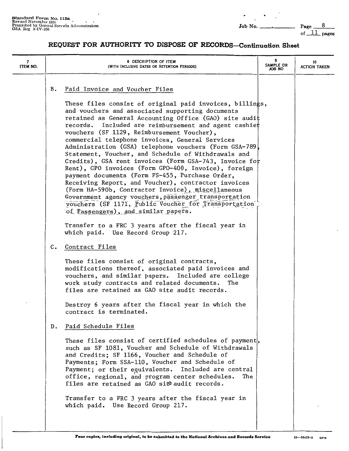$\hat{\phantom{a}}$ 

 $\bullet$ 

of\_\_ll\_pages

| 7<br><b>ITEM NO.</b> |               | 8 DESCRIPTION OF ITEM<br>(WITH INCLUSIVE DATES OR RETENTION PERIODS)                                                                                                                                                                                                                                                                                                                                                                                                                                                                                                                                                                                                                                                                                                                                                                                                                                                        | 9<br>SAMPLE OR<br>ON 8OL | 10<br><b>ACTION TAKEN</b> |
|----------------------|---------------|-----------------------------------------------------------------------------------------------------------------------------------------------------------------------------------------------------------------------------------------------------------------------------------------------------------------------------------------------------------------------------------------------------------------------------------------------------------------------------------------------------------------------------------------------------------------------------------------------------------------------------------------------------------------------------------------------------------------------------------------------------------------------------------------------------------------------------------------------------------------------------------------------------------------------------|--------------------------|---------------------------|
|                      | В.            | Paid Invoice and Voucher Files<br>These files consist of original paid invoices, billings,<br>and vouchers and associated supporting documents<br>retained as General Accounting Office (GAO) site audit<br>records. Included are reimbursement and agent cashiet<br>vouchers (SF 1129, Reimbursement Voucher),<br>commercial telephone invoices, General Services<br>Administration (GSA) telephone vouchers (Form GSA-789)<br>Statement, Voucher, and Schedule of Withdrawals and<br>Credits), GSA rent invoices (Form GSA-743, Invoice for<br>Rent), GPO invoices (Form GPO-400, Invoice), foreign<br>payment documents (Form FS-455, Purchase Order,<br>Receiving Report, and Voucher), contractor invoices<br>(Form HA-590b, Contractor Invoice), miscellaneous<br>Government agency vouchers, passenger transportation<br>vouchers (SF 1171, Public Voucher for Transportation<br>of Passengers), and similar papers. |                          |                           |
|                      |               | Transfer to a FRC 3 years after the fiscal year in<br>which paid. Use Record Group 217.                                                                                                                                                                                                                                                                                                                                                                                                                                                                                                                                                                                                                                                                                                                                                                                                                                     |                          |                           |
|                      | $c_{\bullet}$ | Contract Files<br>These files consist of original contracts,<br>modifications thereof, associated paid invoices and<br>vouchers, and similar papers. Included are college<br>work study contracts and related documents. The<br>files are retained as GAO site audit records.<br>Destroy 6 years after the fiscal year in which the                                                                                                                                                                                                                                                                                                                                                                                                                                                                                                                                                                                         |                          |                           |
|                      | $D_{\bullet}$ | contract is terminated.<br>Paid Schedule Files<br>These files consist of certified schedules of payment,<br>such as SF 1081, Voucher and Schedule of Withdrawals<br>and Credits; SF 1166, Voucher and Schedule of<br>Payments; Form SSA-110, Voucher and Schedule of<br>Payment; or their equivalents. Included are central<br>office, regional, and program center schedules.<br>The<br>files are retained as GAO site audit records.<br>Transfer to a FRC 3 years after the fiscal year in                                                                                                                                                                                                                                                                                                                                                                                                                                |                          |                           |
|                      |               | which paid. Use Record Group 217.                                                                                                                                                                                                                                                                                                                                                                                                                                                                                                                                                                                                                                                                                                                                                                                                                                                                                           |                          |                           |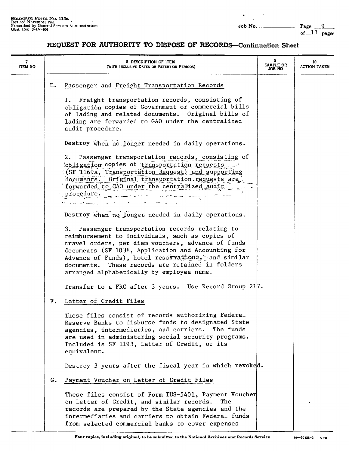$\gamma_{\bullet}$ 

 $-$  Page  $-$ 9 of  $11$  pages

| 7<br><b>ITEM NO</b> |    | 8 DESCRIPTION OF ITEM<br>(WITH INCLUSIVE DATES OR RETENTION PERIODS)                                                                                                                                                                                                                                                                                                  | SAMPLE OR<br>JOB NO | 10<br><b>ACTION TAKEN</b> |
|---------------------|----|-----------------------------------------------------------------------------------------------------------------------------------------------------------------------------------------------------------------------------------------------------------------------------------------------------------------------------------------------------------------------|---------------------|---------------------------|
|                     | Е. | Passenger and Freight Transportation Records                                                                                                                                                                                                                                                                                                                          |                     |                           |
|                     |    | 1. Freight transportation records, consisting of<br>obligation copies of Government or commercial bills<br>of lading and related documents. Original bills of<br>lading are forwarded to GAO under the centralized<br>audit procedure.                                                                                                                                |                     |                           |
|                     |    | Destroy when no longer needed in daily operations.                                                                                                                                                                                                                                                                                                                    |                     |                           |
|                     |    | 2. Passenger transportation records, consisting of<br>obligation copies of transportation requests<br>(SF 1169a, Transportation Request) and supporting<br>documents. Original transportation requests are<br>forwarded to GAO under the centralized audit<br>procedure.<br>المستشركات والمستعملوني                                                                   |                     |                           |
|                     |    | Destroy when no longer needed in daily operations.                                                                                                                                                                                                                                                                                                                    |                     |                           |
|                     |    | 3. Passenger transportation records relating to<br>reimbursement to individuals, such as copies of<br>travel orders, per diem vouchers, advance of funds<br>documents (SF 1038, Application and Accounting for<br>Advance of Funds), hotel reservations, and similar<br>documents. These records are retained in folders<br>arranged alphabetically by employee name. |                     |                           |
|                     |    | Transfer to a FRC after 3 years. Use Record Group 217.                                                                                                                                                                                                                                                                                                                |                     |                           |
|                     | F. | Letter of Credit Files                                                                                                                                                                                                                                                                                                                                                |                     |                           |
|                     |    | These files consist of records authorizing Federal<br>Reserve Banks to disburse funds to designated State<br>agencies, intermediaries, and carriers.<br>The funds<br>are used in administering social security programs.<br>Included is SF 1193, Letter of Credit, or its<br>equivalent.                                                                              |                     |                           |
|                     |    | Destroy 3 years after the fiscal year in which revoked.                                                                                                                                                                                                                                                                                                               |                     |                           |
|                     | G. | Payment Voucher on Letter of Credit Files                                                                                                                                                                                                                                                                                                                             |                     |                           |
|                     |    | These files consist of Form TUS-5401, Payment Voucher<br>on Letter of Credit, and similar records.<br>The<br>records are prepared by the State agencies and the<br>intermediaries and carriers to obtain Federal funds<br>from selected commercial banks to cover expenses                                                                                            |                     |                           |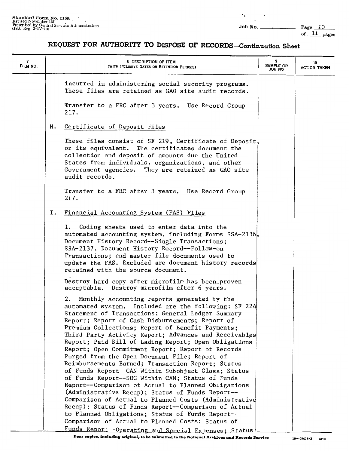of  $11$  pages

# **REQUEST FOR AUTHORITY TO DISPOSE OF RECORDS-Continuation Sheet**

| 7<br>ITEM NO. | 8 DESCRIPTION OF ITEM<br>(WITH INCLUSIVE DATES OR RETENTION PERIODS)                                                                                                                                                                                                                                                                                                                                                                                                                                                                                                                                                                                                                                                                                                                                                                                                                                                                      | SAMPLE OR<br>ON BOL | 10<br><b>ACTION TAKEN</b> |
|---------------|-------------------------------------------------------------------------------------------------------------------------------------------------------------------------------------------------------------------------------------------------------------------------------------------------------------------------------------------------------------------------------------------------------------------------------------------------------------------------------------------------------------------------------------------------------------------------------------------------------------------------------------------------------------------------------------------------------------------------------------------------------------------------------------------------------------------------------------------------------------------------------------------------------------------------------------------|---------------------|---------------------------|
|               | incurred in administering social security programs.<br>These files are retained as GAO site audit records.<br>Transfer to a FRC after 3 years. Use Record Group                                                                                                                                                                                                                                                                                                                                                                                                                                                                                                                                                                                                                                                                                                                                                                           |                     |                           |
|               | 217.                                                                                                                                                                                                                                                                                                                                                                                                                                                                                                                                                                                                                                                                                                                                                                                                                                                                                                                                      |                     |                           |
|               | Certificate of Deposit Files<br>н.                                                                                                                                                                                                                                                                                                                                                                                                                                                                                                                                                                                                                                                                                                                                                                                                                                                                                                        |                     |                           |
|               | These files consist of SF 219, Certificate of Deposit<br>or its equivalent. The certificates document the<br>collection and deposit of amounts due the United<br>States from individuals, organizations, and other<br>Government agencies. They are retained as GAO site<br>audit records.                                                                                                                                                                                                                                                                                                                                                                                                                                                                                                                                                                                                                                                |                     |                           |
|               | Transfer to a FRC after 3 years. Use Record Group<br>217.                                                                                                                                                                                                                                                                                                                                                                                                                                                                                                                                                                                                                                                                                                                                                                                                                                                                                 |                     |                           |
|               | Financial Accounting System (FAS) Files<br>Ι.                                                                                                                                                                                                                                                                                                                                                                                                                                                                                                                                                                                                                                                                                                                                                                                                                                                                                             |                     |                           |
|               | 1. Coding sheets used to enter data into the<br>automated accounting system, including Forms SSA-2136,<br>Document History Record--Single Transactions;<br>SSA-2137, Document History Record--Follow-on<br>Transactions; and master file documents used to<br>update the FAS. Excluded are document history records<br>retained with the source document.                                                                                                                                                                                                                                                                                                                                                                                                                                                                                                                                                                                 |                     |                           |
|               | Destroy hard copy after microfilm has been proven<br>acceptable. Destroy microfilm after 6 years.                                                                                                                                                                                                                                                                                                                                                                                                                                                                                                                                                                                                                                                                                                                                                                                                                                         |                     |                           |
|               | 2. Monthly accounting reports generated by the<br>automated system. Included are the following: SF 224<br>Statement of Transactions; General Ledger Summary<br>Report; Report of Cash Disbursements; Report of<br>Premium Collections; Report of Benefit Payments;<br>Third Party Activity Report; Advances and Receivables<br>Report; Paid Bill of Lading Report; Open Obligations<br>Report; Open Commitment Report; Report of Records<br>Purged from the Open Document File; Report of<br>Reimbursements Earned; Transaction Report; Status<br>of Funds Report--CAN Within Subobject Class; Status<br>of Funds Report--SOC Within CAN; Status of Funds<br>Report--Comparison of Actual to Planned Obligations<br>(Administrative Recap); Status of Funds Report--<br>Comparison of Actual to Planned Costs (Administrative<br>Recap); Status of Funds Report--Comparison of Actual<br>to Planned Obligations; Status of Funds Report-- |                     |                           |
|               | Comparison of Actual to Planned Costs; Status of                                                                                                                                                                                                                                                                                                                                                                                                                                                                                                                                                                                                                                                                                                                                                                                                                                                                                          |                     |                           |
|               | Funds Report--Operating and Special Expenses; Status                                                                                                                                                                                                                                                                                                                                                                                                                                                                                                                                                                                                                                                                                                                                                                                                                                                                                      |                     |                           |

**Four copies, including original, to be submitted to the National Archives and Records Service** 16-59428-2 GPO